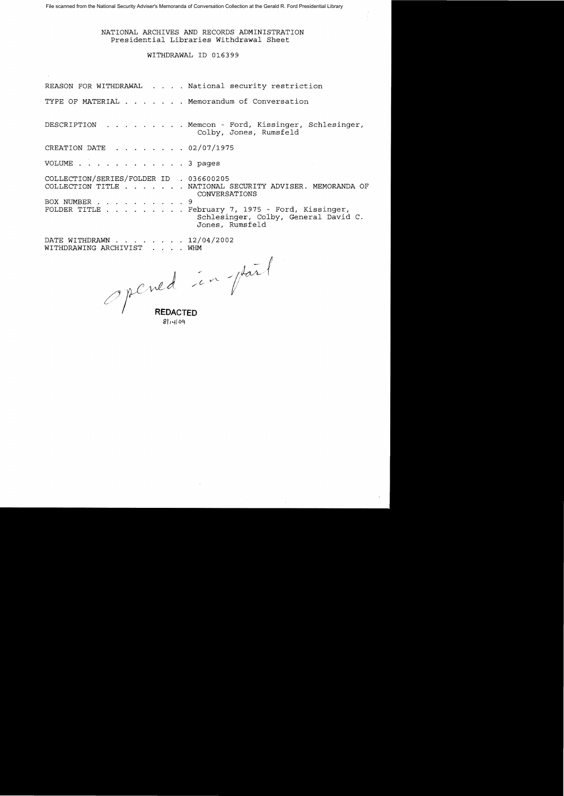### NATIONAL ARCHIVES AND RECORDS ADMINISTRATION Presidential Libraries Withdrawal Sheet

### WITHDRAWAL ID 016399

REASON FOR WITHDRAWAL . . . . National security restriction TYPE OF MATERIAL . . . . . . Memorandum of Conversation DESCRIPTION Memcon - Ford, Kissinger, Schlesinger,  $\mathbf{r} = \mathbf{r} + \mathbf{r} + \mathbf{r} + \mathbf{r} + \mathbf{r}$  $\mathbf{u} = \mathbf{u} + \mathbf{u} + \mathbf{u}$  . Colby, Jones, Rumsfeld CREATION DATE  $\cdot$   $\cdot$   $\cdot$   $\cdot$   $\cdot$   $\cdot$  02/07/1975 VOLUME .  $\ldots$  . . . . . . . 3 pages COLLECTION/SERIES/FOLDER ID 036600205 COLLECTION TITLE . . . . . . NATIONAL SECURITY ADVISER. MEMORANDA OF CONVERSATIONS BOX NUMBER . . . . . . . . . . 9 FOLDER TITLE . . . . . . . . February 7, 1975 - Ford, Kissinger, Schlesinger, Colby, General David C. Jones, Rumsfeld DATE WITHDRAWN . . . . . . . 12/04/2002

WITHDRAWING ARCHIVIST . . . . WHM WHM

*1')y.LJ*   $\ell$  /  $\ell$ 

. **REDACTED**  8114109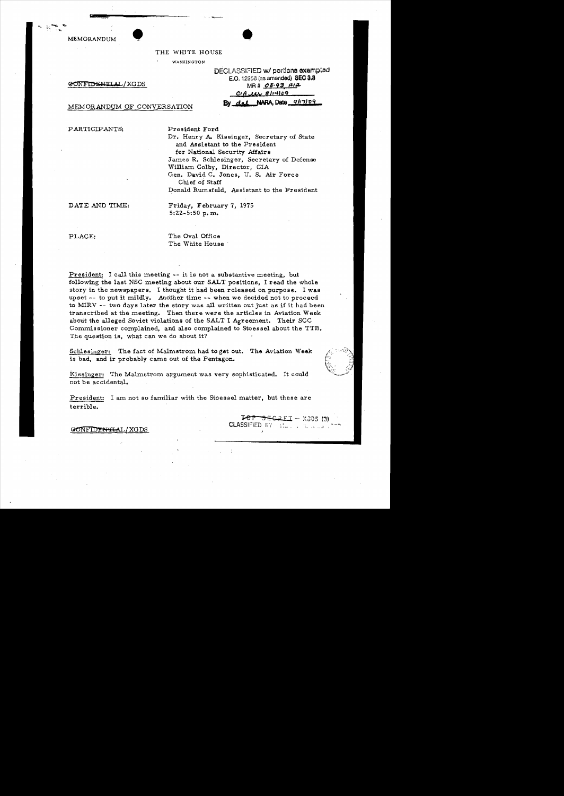MEMORANDUM



THE WHITE HOUSE

WASHINGTON

~Nl'iI"1?§~T'I'I AI,!XGDS MR # **06-93, #1;1..** 

| DECLASSIFIED w/ portions exempted |
|-----------------------------------|
| E.O. 12958 (as amended) SEC 3.3   |
| MR# 08-93 AI2                     |
| $C_1 A$ $U_1$ $B$ $1$ $1$ $109$   |
| By del NARA, Date 9/17/09         |

MEMORANDUM OF CONVERSATION

PARTICIPANTS: President Ford

Dr. Henry A. Kissinger, Secretary of State and Assistant to the President for National Security Affairs James R. Schlesinger, Secretary of Defense William Colby, Director, CIA Gen. David C. Jones, U. S. Air Force Chief of Staff Donald Rumsfeld, Assistant to the President

DATE AND TIME: Friday, February 7, 1975 5:22-5:50 p.m.

PLACE: The Oval Office The White House

President: I call this meeting ~- it is not a substantive meeting, but following the last NSC meeting about our SALT positions, I read the whole story in the newspapers. I thought it had been released on purpose. I was upset -- to put it mildly. Another time **--** when we decided not to proceed to MIRV ~- two days later the story was all written out just as if it had been transcribed at the meeting. Then there were the articles in Aviation Week about the alleged Soviet violations of the SALT I Agreement. Their SCC Commissioner complained, and also complained to Stoessel about the TTB. The question is, what can we do about it?

Schlesinger: The fact of Malmstrom had to get out. The Aviation Week is bad, and ir probably carne out of the Pentagon.

Kissinger: The Malmstrom argument was very sophisticated. It could not be accidental. .

President: I am not so familiar with the Stoessel matter, but these are terrible.

> $IOP =$  $E C Z ET - X305 (3)$ CLASSIFIED BY : ::... , ... , ... , ... )

GONFIDENTLAL/XGDS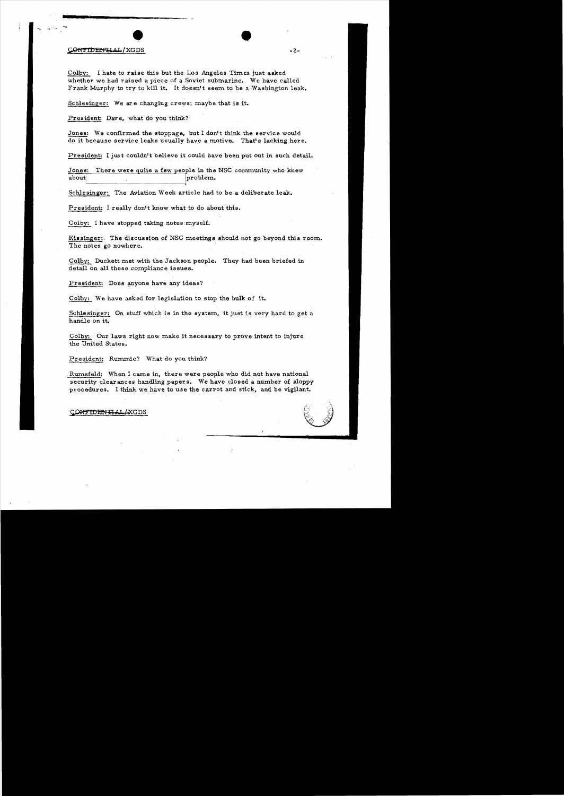#### CONTIDENTIAL/XGDS

....\_ ."" '.Ao

Colby: I hate to raise this but the Los Angeles Times just asked whether we had raised a piece of a Soviet submarine. We have called Frank Murphy to try to kill it. It doesn't seem to be a Washington leak.

Schlesinger: We are changing crews; maybe that is it.

President: Dave, what do you think?

Jones: We confirmed the stoppage, but I don't think the service would do it because service leaks usually have a motive. That's lacking here.

 $P$ resident: I just couldn't believe it could have been put out in such detail.

Jones: There were quite a few people in the NSC community who knew<br>about  $|$ problem.

Schlesinger: The Aviation Week article had to be a deliberate leak.

President: I really don't know what to do about this.

Colby: I have stopped taking notea:myself.

Kissinger:. The discussion of NSG meetings should not go beyond this room. The notes go nowhere.

Colby: Duckett met with the Jackson people. They had been briefed in detail on all these compliance issues.

President: Does anyone have any ideas?

Colby: We have asked for legislation to stop the bulk of it.

Schlesinger: On stuff which is in the system, it just is very hard to get a handle on it.

Colby: Our laws right now make it necessary to prove intent to injure the United States.

President: Rummie? What do you think?

Rumsfeld: When I came in, there were people who did not have national security clearances handling papers. We have closed a number of sloppy procedures. 1 think we have to use the carrot and stick. and be vigilant.



ONTIDENTIAL AXGDS

-2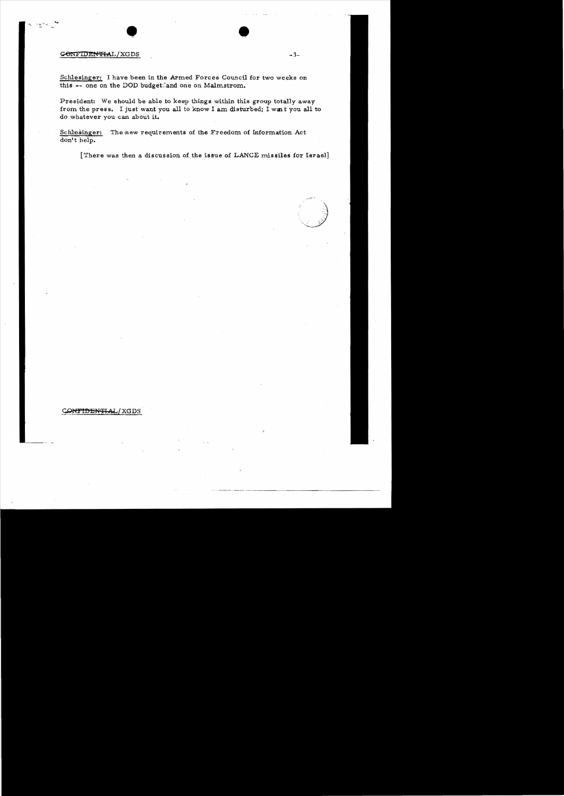#### **CONFIDENTIAL/XGDS** -3-

. . .  $\sim$   $\sim$   $^{\prime\prime}$ 

Schlesinger: I have been in the Armed Forces Council for two weeks on this  $\overline{\hspace{1mm}-\hspace{1mm}}$  one on the DOD budget: and one on Malmstrom.

President: We should be able to keep things within this group totally away from the press. I just want you all to know I am disturbed; I want you all to do whatever you can about it.

Schlesinger: The new requirements of the Freedom of Information Act don't help.

[There was then a discussion of the issue of LANCE missiles for Israel]